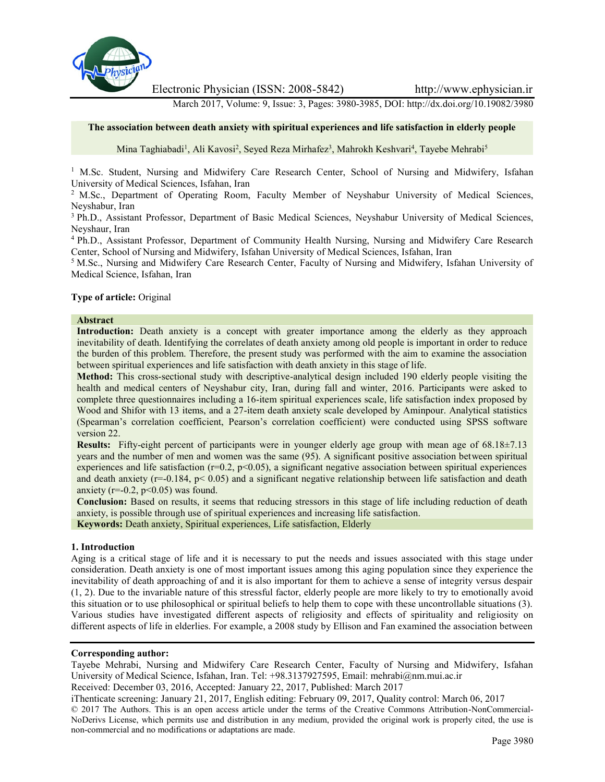

Electronic Physician (ISSN: 2008-5842) http://www.ephysician.ir

March 2017, Volume: 9, Issue: 3, Pages: 3980-3985, DOI: http://dx.doi.org/10.19082/3980

#### **The association between death anxiety with spiritual experiences and life satisfaction in elderly people**

Mina Taghiabadi<sup>1</sup>, Ali Kavosi<sup>2</sup>, Seyed Reza Mirhafez<sup>3</sup>, Mahrokh Keshvari<sup>4</sup>, Tayebe Mehrabi<sup>5</sup>

<sup>1</sup> M.Sc. Student, Nursing and Midwifery Care Research Center, School of Nursing and Midwifery, Isfahan University of Medical Sciences, Isfahan, Iran

<sup>2</sup> M.Sc., Department of Operating Room, Faculty Member of Neyshabur University of Medical Sciences, Neyshabur, Iran

<sup>3</sup> Ph.D., Assistant Professor, Department of Basic Medical Sciences, Neyshabur University of Medical Sciences, Neyshaur, Iran

<sup>4</sup> Ph.D., Assistant Professor, Department of Community Health Nursing, Nursing and Midwifery Care Research Center, School of Nursing and Midwifery, Isfahan University of Medical Sciences, Isfahan, Iran

<sup>5</sup> M.Sc., Nursing and Midwifery Care Research Center, Faculty of Nursing and Midwifery, Isfahan University of Medical Science, Isfahan, Iran

#### **Type of article:** Original

#### **Abstract**

**Introduction:** Death anxiety is a concept with greater importance among the elderly as they approach inevitability of death. Identifying the correlates of death anxiety among old people is important in order to reduce the burden of this problem. Therefore, the present study was performed with the aim to examine the association between spiritual experiences and life satisfaction with death anxiety in this stage of life.

**Method:** This cross-sectional study with descriptive-analytical design included 190 elderly people visiting the health and medical centers of Neyshabur city, Iran, during fall and winter, 2016. Participants were asked to complete three questionnaires including a 16-item spiritual experiences scale, life satisfaction index proposed by Wood and Shifor with 13 items, and a 27-item death anxiety scale developed by Aminpour. Analytical statistics (Spearman's correlation coefficient, Pearson's correlation coefficient) were conducted using SPSS software version 22.

**Results:** Fifty-eight percent of participants were in younger elderly age group with mean age of 68.18±7.13 years and the number of men and women was the same (95). A significant positive association between spiritual experiences and life satisfaction ( $r=0.2$ ,  $p<0.05$ ), a significant negative association between spiritual experiences and death anxiety ( $r=-0.184$ ,  $p< 0.05$ ) and a significant negative relationship between life satisfaction and death anxiety ( $r=-0.2$ ,  $p<0.05$ ) was found.

**Conclusion:** Based on results, it seems that reducing stressors in this stage of life including reduction of death anxiety, is possible through use of spiritual experiences and increasing life satisfaction.

**Keywords:** Death anxiety, Spiritual experiences, Life satisfaction, Elderly

#### **1. Introduction**

Aging is a critical stage of life and it is necessary to put the needs and issues associated with this stage under consideration. Death anxiety is one of most important issues among this aging population since they experience the inevitability of death approaching of and it is also important for them to achieve a sense of integrity versus despair (1, 2). Due to the invariable nature of this stressful factor, elderly people are more likely to try to emotionally avoid this situation or to use philosophical or spiritual beliefs to help them to cope with these uncontrollable situations (3). Various studies have investigated different aspects of religiosity and effects of spirituality and religiosity on different aspects of life in elderlies. For example, a 2008 study by Ellison and Fan examined the association between

#### **Corresponding author:**

Tayebe Mehrabi, Nursing and Midwifery Care Research Center, Faculty of Nursing and Midwifery, Isfahan University of Medical Science, Isfahan, Iran. Tel: +98.3137927595, Email: mehrabi@nm.mui.ac.ir

Received: December 03, 2016, Accepted: January 22, 2017, Published: March 2017

iThenticate screening: January 21, 2017, English editing: February 09, 2017, Quality control: March 06, 2017

© 2017 The Authors. This is an open access article under the terms of the Creative Commons Attribution-NonCommercial- NoDerivs License, which permits use and distribution in any medium, provided the original work is properly cited, the use is non-commercial and no modifications or adaptations are made.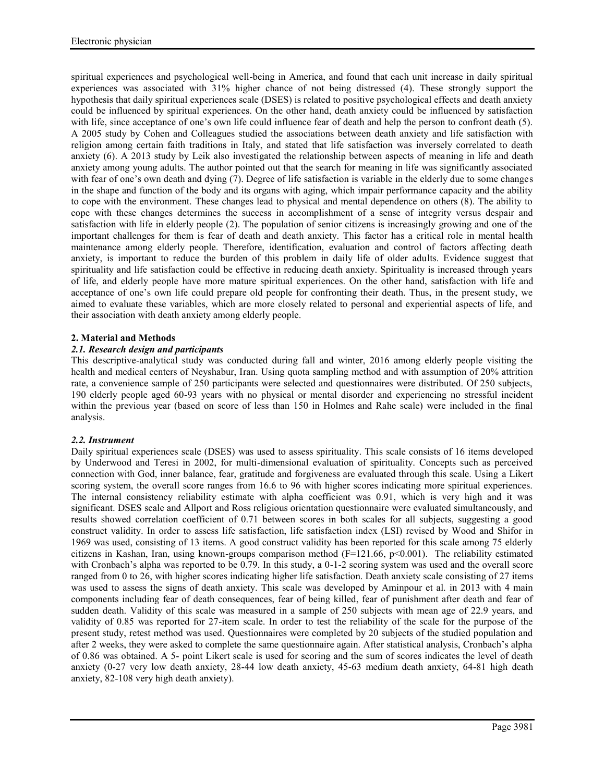spiritual experiences and psychological well-being in America, and found that each unit increase in daily spiritual experiences was associated with 31% higher chance of not being distressed (4). These strongly support the hypothesis that daily spiritual experiences scale (DSES) is related to positive psychological effects and death anxiety could be influenced by spiritual experiences. On the other hand, death anxiety could be influenced by satisfaction with life, since acceptance of one's own life could influence fear of death and help the person to confront death (5). A 2005 study by Cohen and Colleagues studied the associations between death anxiety and life satisfaction with religion among certain faith traditions in Italy, and stated that life satisfaction was inversely correlated to death anxiety (6). A 2013 study by Leik also investigated the relationship between aspects of meaning in life and death anxiety among young adults. The author pointed out that the search for meaning in life was significantly associated with fear of one's own death and dying (7). Degree of life satisfaction is variable in the elderly due to some changes in the shape and function of the body and its organs with aging, which impair performance capacity and the ability to cope with the environment. These changes lead to physical and mental dependence on others (8). The ability to cope with these changes determines the success in accomplishment of a sense of integrity versus despair and satisfaction with life in elderly people (2). The population of senior citizens is increasingly growing and one of the important challenges for them is fear of death and death anxiety. This factor has a critical role in mental health maintenance among elderly people. Therefore, identification, evaluation and control of factors affecting death anxiety, is important to reduce the burden of this problem in daily life of older adults. Evidence suggest that spirituality and life satisfaction could be effective in reducing death anxiety. Spirituality is increased through years of life, and elderly people have more mature spiritual experiences. On the other hand, satisfaction with life and acceptance of one's own life could prepare old people for confronting their death. Thus, in the present study, we aimed to evaluate these variables, which are more closely related to personal and experiential aspects of life, and their association with death anxiety among elderly people.

# **2. Material and Methods**

# *2.1. Research design and participants*

This descriptive-analytical study was conducted during fall and winter, 2016 among elderly people visiting the health and medical centers of Neyshabur, Iran. Using quota sampling method and with assumption of 20% attrition rate, a convenience sample of 250 participants were selected and questionnaires were distributed. Of 250 subjects, 190 elderly people aged 60-93 years with no physical or mental disorder and experiencing no stressful incident within the previous year (based on score of less than 150 in Holmes and Rahe scale) were included in the final analysis.

# *2.2. Instrument*

Daily spiritual experiences scale (DSES) was used to assess spirituality. This scale consists of 16 items developed by Underwood and Teresi in 2002, for multi-dimensional evaluation of spirituality. Concepts such as perceived connection with God, inner balance, fear, gratitude and forgiveness are evaluated through this scale. Using a Likert scoring system, the overall score ranges from 16.6 to 96 with higher scores indicating more spiritual experiences. The internal consistency reliability estimate with alpha coefficient was 0.91, which is very high and it was significant. DSES scale and Allport and Ross religious orientation questionnaire were evaluated simultaneously, and results showed correlation coefficient of 0.71 between scores in both scales for all subjects, suggesting a good construct validity. In order to assess life satisfaction, life satisfaction index (LSI) revised by Wood and Shifor in 1969 was used, consisting of 13 items. A good construct validity has been reported for this scale among 75 elderly citizens in Kashan, Iran, using known-groups comparison method (F=121.66, p<0.001). The reliability estimated with Cronbach's alpha was reported to be 0.79. In this study, a 0-1-2 scoring system was used and the overall score ranged from 0 to 26, with higher scores indicating higher life satisfaction. Death anxiety scale consisting of 27 items was used to assess the signs of death anxiety. This scale was developed by Aminpour et al. in 2013 with 4 main components including fear of death consequences, fear of being killed, fear of punishment after death and fear of sudden death. Validity of this scale was measured in a sample of 250 subjects with mean age of 22.9 years, and validity of 0.85 was reported for 27-item scale. In order to test the reliability of the scale for the purpose of the present study, retest method was used. Questionnaires were completed by 20 subjects of the studied population and after 2 weeks, they were asked to complete the same questionnaire again. After statistical analysis, Cronbach's alpha of 0.86 was obtained. A 5- point Likert scale is used for scoring and the sum of scores indicates the level of death anxiety (0-27 very low death anxiety, 28-44 low death anxiety, 45-63 medium death anxiety, 64-81 high death anxiety, 82-108 very high death anxiety).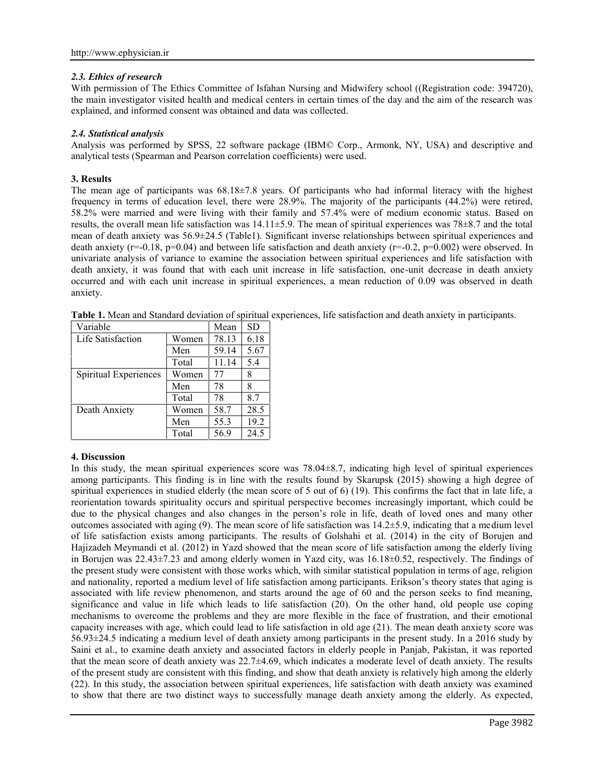# *2.3. Ethics of research*

With permission of The Ethics Committee of Isfahan Nursing and Midwifery school ((Registration code: 394720), the main investigator visited health and medical centers in certain times of the day and the aim of the research was explained, and informed consent was obtained and data was collected.

### *2.4. Statistical analysis*

Analysis was performed by SPSS, 22 software package (IBM© Corp., Armonk, NY, USA) and descriptive and analytical tests (Spearman and Pearson correlation coefficients) were used.

### **3. Results**

The mean age of participants was  $68.18\pm7.8$  years. Of participants who had informal literacy with the highest frequency in terms of education level, there were 28.9%. The majority of the participants (44.2%) were retired, 58.2% were married and were living with their family and 57.4% were of medium economic status. Based on results, the overall mean life satisfaction was  $14.11\pm5.9$ . The mean of spiritual experiences was  $78\pm8.7$  and the total mean of death anxiety was 56.9±24.5 (Table1). Significant inverse relationships between spiritual experiences and death anxiety ( $r=-0.18$ ,  $p=0.04$ ) and between life satisfaction and death anxiety ( $r=-0.2$ ,  $p=0.002$ ) were observed. In univariate analysis of variance to examine the association between spiritual experiences and life satisfaction with death anxiety, it was found that with each unit increase in life satisfaction, one-unit decrease in death anxiety occurred and with each unit increase in spiritual experiences, a mean reduction of 0.09 was observed in death anxiety.

| Variable              |       | Mean  | <b>SD</b> |
|-----------------------|-------|-------|-----------|
| Life Satisfaction     | Women | 78.13 | 6.18      |
|                       | Men   | 59.14 | 5.67      |
|                       | Total | 11.14 | 5.4       |
| Spiritual Experiences | Women | 77    | 8         |
|                       | Men   | 78    | 8         |
|                       | Total | 78    | 8.7       |
| Death Anxiety         | Women | 58.7  | 28.5      |
|                       | Men   | 55.3  | 19.2      |
|                       | Total | 56.9  | 24.5      |

**Table 1.** Mean and Standard deviation of spiritual experiences, life satisfaction and death anxiety in participants.

#### **4. Discussion**

In this study, the mean spiritual experiences score was 78.04±8.7, indicating high level of spiritual experiences among participants. This finding is in line with the results found by Skarupsk (2015) showing a high degree of spiritual experiences in studied elderly (the mean score of 5 out of 6) (19). This confirms the fact that in late life, a reorientation towards spirituality occurs and spiritual perspective becomes increasingly important, which could be due to the physical changes and also changes in the person's role in life, death of loved ones and many other outcomes associated with aging  $(9)$ . The mean score of life satisfaction was  $14.2±5.9$ , indicating that a medium level of life satisfaction exists among participants. The results of Golshahi et al. (2014) in the city of Borujen and Hajizadeh Meymandi et al. (2012) in Yazd showed that the mean score of life satisfaction among the elderly living in Borujen was 22.43±7.23 and among elderly women in Yazd city, was 16.18±0.52, respectively. The findings of the present study were consistent with those works which, with similar statistical population in terms of age, religion and nationality, reported a medium level of life satisfaction among participants. Erikson's theory states that aging is associated with life review phenomenon, and starts around the age of 60 and the person seeks to find meaning, significance and value in life which leads to life satisfaction (20). On the other hand, old people use coping mechanisms to overcome the problems and they are more flexible in the face of frustration, and their emotional capacity increases with age, which could lead to life satisfaction in old age (21). The mean death anxiety score was 56.93±24.5 indicating a medium level of death anxiety among participants in the present study. In a 2016 study by Saini et al., to examine death anxiety and associated factors in elderly people in Panjab, Pakistan, it was reported that the mean score of death anxiety was  $22.7\pm4.69$ , which indicates a moderate level of death anxiety. The results of the present study are consistent with this finding, and show that death anxiety is relatively high among the elderly (22). In this study, the association between spiritual experiences, life satisfaction with death anxiety was examined to show that there are two distinct ways to successfully manage death anxiety among the elderly. As expected,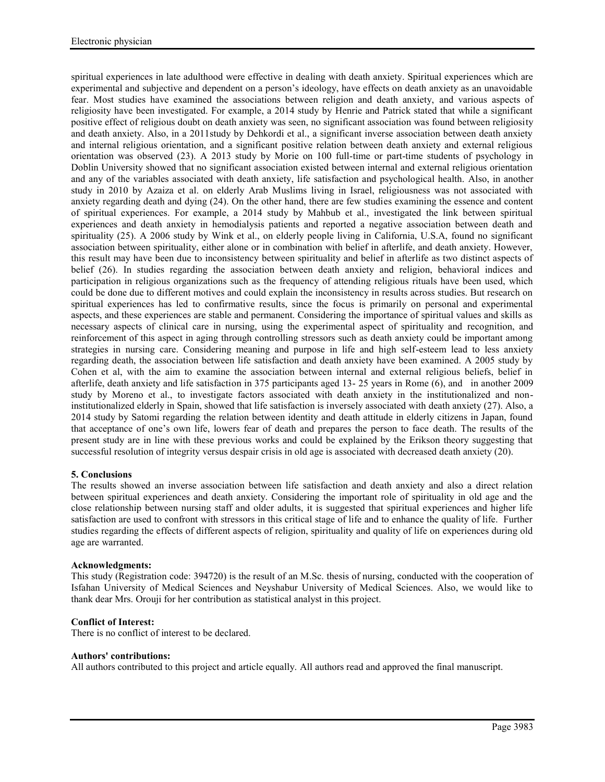spiritual experiences in late adulthood were effective in dealing with death anxiety. Spiritual experiences which are experimental and subjective and dependent on a person's ideology, have effects on death anxiety as an unavoidable fear. Most studies have examined the associations between religion and death anxiety, and various aspects of religiosity have been investigated. For example, a 2014 study by Henrie and Patrick stated that while a significant positive effect of religious doubt on death anxiety was seen, no significant association was found between religiosity and death anxiety. Also, in a 2011study by Dehkordi et al., a significant inverse association between death anxiety and internal religious orientation, and a significant positive relation between death anxiety and external religious orientation was observed (23). A 2013 study by Morie on 100 full-time or part-time students of psychology in Doblin University showed that no significant association existed between internal and external religious orientation and any of the variables associated with death anxiety, life satisfaction and psychological health. Also, in another study in 2010 by Azaiza et al. on elderly Arab Muslims living in Israel, religiousness was not associated with anxiety regarding death and dying (24). On the other hand, there are few studies examining the essence and content of spiritual experiences. For example, a 2014 study by Mahbub et al., investigated the link between spiritual experiences and death anxiety in hemodialysis patients and reported a negative association between death and spirituality (25). A 2006 study by Wink et al., on elderly people living in California, U.S.A, found no significant association between spirituality, either alone or in combination with belief in afterlife, and death anxiety. However, this result may have been due to inconsistency between spirituality and belief in afterlife as two distinct aspects of belief (26). In studies regarding the association between death anxiety and religion, behavioral indices and participation in religious organizations such as the frequency of attending religious rituals have been used, which could be done due to different motives and could explain the inconsistency in results across studies. But research on spiritual experiences has led to confirmative results, since the focus is primarily on personal and experimental aspects, and these experiences are stable and permanent. Considering the importance of spiritual values and skills as necessary aspects of clinical care in nursing, using the experimental aspect of spirituality and recognition, and reinforcement of this aspect in aging through controlling stressors such as death anxiety could be important among strategies in nursing care. Considering meaning and purpose in life and high self-esteem lead to less anxiety regarding death, the association between life satisfaction and death anxiety have been examined. A 2005 study by Cohen et al, with the aim to examine the association between internal and external religious beliefs, belief in afterlife, death anxiety and life satisfaction in 375 participants aged 13- 25 years in Rome (6), and in another 2009 study by Moreno et al., to investigate factors associated with death anxiety in the institutionalized and noninstitutionalized elderly in Spain, showed that life satisfaction is inversely associated with death anxiety (27). Also, a 2014 study by Satomi regarding the relation between identity and death attitude in elderly citizens in Japan, found that acceptance of one's own life, lowers fear of death and prepares the person to face death. The results of the present study are in line with these previous works and could be explained by the Erikson theory suggesting that successful resolution of integrity versus despair crisis in old age is associated with decreased death anxiety (20).

# **5. Conclusions**

The results showed an inverse association between life satisfaction and death anxiety and also a direct relation between spiritual experiences and death anxiety. Considering the important role of spirituality in old age and the close relationship between nursing staff and older adults, it is suggested that spiritual experiences and higher life satisfaction are used to confront with stressors in this critical stage of life and to enhance the quality of life. Further studies regarding the effects of different aspects of religion, spirituality and quality of life on experiences during old age are warranted.

# **Acknowledgments:**

This study (Registration code: 394720) is the result of an M.Sc. thesis of nursing, conducted with the cooperation of Isfahan University of Medical Sciences and Neyshabur University of Medical Sciences. Also, we would like to thank dear Mrs. Orouji for her contribution as statistical analyst in this project.

# **Conflict of Interest:**

There is no conflict of interest to be declared.

# **Authors' contributions:**

All authors contributed to this project and article equally. All authors read and approved the final manuscript.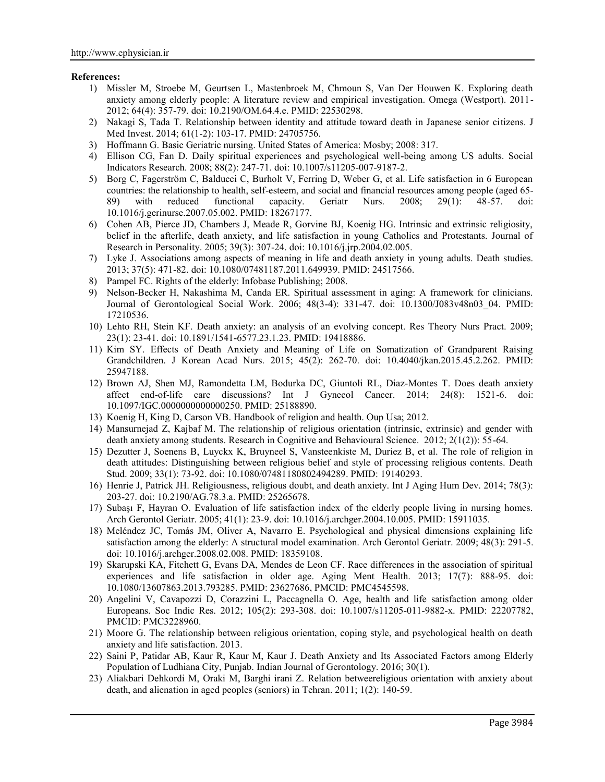#### **References:**

- 1) Missler M, Stroebe M, Geurtsen L, Mastenbroek M, Chmoun S, Van Der Houwen K. Exploring death anxiety among elderly people: A literature review and empirical investigation. Omega (Westport). 2011- 2012; 64(4): 357-79. doi: 10.2190/OM.64.4.e. PMID: 22530298.
- 2) Nakagi S, Tada T. Relationship between identity and attitude toward death in Japanese senior citizens. J Med Invest. 2014; 61(1-2): 103-17. PMID: 24705756.
- 3) Hoffmann G. Basic Geriatric nursing. United States of America: Mosby; 2008: 317.
- 4) Ellison CG, Fan D. Daily spiritual experiences and psychological well-being among US adults. Social Indicators Research. 2008; 88(2): 247-71. doi: 10.1007/s11205-007-9187-2.
- 5) Borg C, Fagerström C, Balducci C, Burholt V, Ferring D, Weber G, et al. Life satisfaction in 6 European countries: the relationship to health, self-esteem, and social and financial resources among people (aged 65- 89) with reduced functional capacity. Geriatr Nurs. 2008; 29(1): 48-57. doi: 10.1016/j.gerinurse.2007.05.002. PMID: 18267177.
- 6) Cohen AB, Pierce JD, Chambers J, Meade R, Gorvine BJ, Koenig HG. Intrinsic and extrinsic religiosity, belief in the afterlife, death anxiety, and life satisfaction in young Catholics and Protestants. Journal of Research in Personality. 2005; 39(3): 307-24. doi: 10.1016/j.jrp.2004.02.005.
- 7) Lyke J. Associations among aspects of meaning in life and death anxiety in young adults. Death studies. 2013; 37(5): 471-82. doi: 10.1080/07481187.2011.649939. PMID: 24517566.
- 8) Pampel FC. Rights of the elderly: Infobase Publishing; 2008.
- 9) Nelson-Becker H, Nakashima M, Canda ER. Spiritual assessment in aging: A framework for clinicians. Journal of Gerontological Social Work. 2006; 48(3-4): 331-47. doi: 10.1300/J083v48n03\_04. PMID: 17210536.
- 10) Lehto RH, Stein KF. Death anxiety: an analysis of an evolving concept. Res Theory Nurs Pract. 2009; 23(1): 23-41. doi: 10.1891/1541-6577.23.1.23. PMID: 19418886.
- 11) Kim SY. Effects of Death Anxiety and Meaning of Life on Somatization of Grandparent Raising Grandchildren. J Korean Acad Nurs. 2015; 45(2): 262-70. doi: 10.4040/jkan.2015.45.2.262. PMID: 25947188.
- 12) Brown AJ, Shen MJ, Ramondetta LM, Bodurka DC, Giuntoli RL, Diaz-Montes T. Does death anxiety affect end-of-life care discussions? Int J Gynecol Cancer. 2014; 24(8): 1521-6. doi: 10.1097/IGC.0000000000000250. PMID: 25188890.
- 13) Koenig H, King D, Carson VB. Handbook of religion and health. Oup Usa; 2012.
- 14) Mansurnejad Z, Kajbaf M. The relationship of religious orientation (intrinsic, extrinsic) and gender with death anxiety among students. Research in Cognitive and Behavioural Science. 2012; 2(1(2)): 55-64.
- 15) Dezutter J, Soenens B, Luyckx K, Bruyneel S, Vansteenkiste M, Duriez B, et al. The role of religion in death attitudes: Distinguishing between religious belief and style of processing religious contents. Death Stud. 2009; 33(1): 73-92. doi: 10.1080/07481180802494289. PMID: 19140293.
- 16) Henrie J, Patrick JH. Religiousness, religious doubt, and death anxiety. Int J Aging Hum Dev. 2014; 78(3): 203-27. doi: 10.2190/AG.78.3.a. PMID: 25265678.
- 17) Subaşı F, Hayran O. Evaluation of life satisfaction index of the elderly people living in nursing homes. Arch Gerontol Geriatr. 2005; 41(1): 23-9. doi: 10.1016/j.archger.2004.10.005. PMID: 15911035.
- 18) Meléndez JC, Tomás JM, Oliver A, Navarro E. Psychological and physical dimensions explaining life satisfaction among the elderly: A structural model examination. Arch Gerontol Geriatr. 2009; 48(3): 291-5. doi: 10.1016/j.archger.2008.02.008. PMID: 18359108.
- 19) Skarupski KA, Fitchett G, Evans DA, Mendes de Leon CF. Race differences in the association of spiritual experiences and life satisfaction in older age. Aging Ment Health. 2013; 17(7): 888-95. doi: 10.1080/13607863.2013.793285. PMID: 23627686, PMCID: PMC4545598.
- 20) Angelini V, Cavapozzi D, Corazzini L, Paccagnella O. Age, health and life satisfaction among older Europeans. Soc Indic Res. 2012; 105(2): 293-308. doi: 10.1007/s11205-011-9882-x. PMID: 22207782, PMCID: PMC3228960.
- 21) Moore G. The relationship between religious orientation, coping style, and psychological health on death anxiety and life satisfaction. 2013.
- 22) Saini P, Patidar AB, Kaur R, Kaur M, Kaur J. Death Anxiety and Its Associated Factors among Elderly Population of Ludhiana City, Punjab. Indian Journal of Gerontology. 2016; 30(1).
- 23) Aliakbari Dehkordi M, Oraki M, Barghi irani Z. Relation betweereligious orientation with anxiety about death, and alienation in aged peoples (seniors) in Tehran. 2011; 1(2): 140-59.